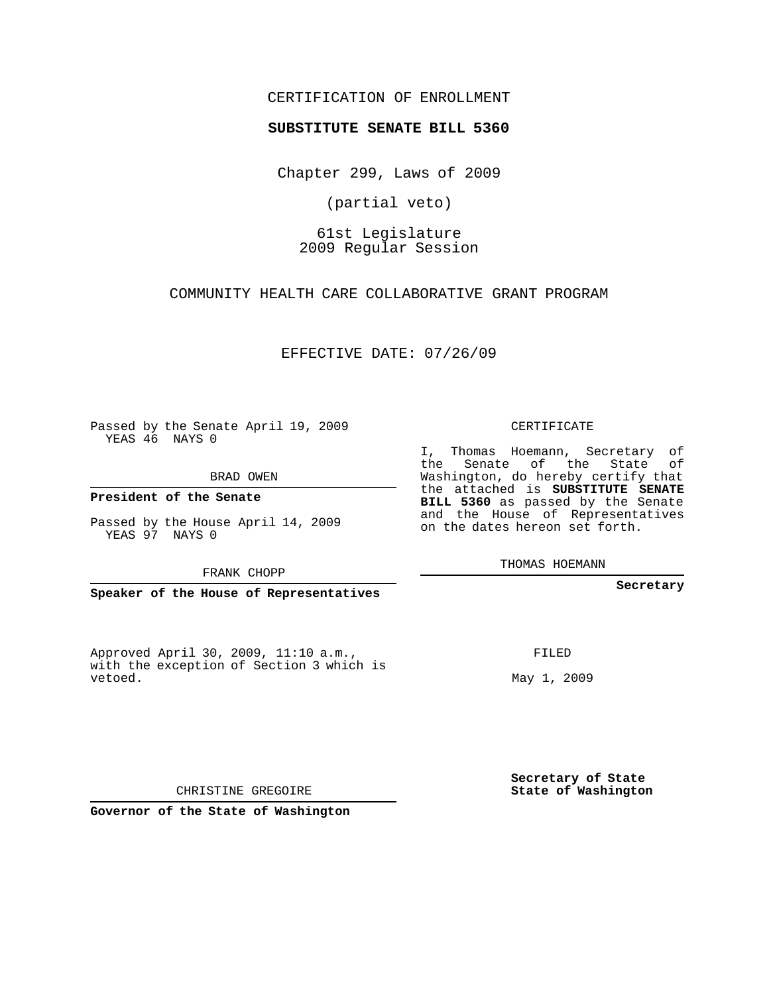## CERTIFICATION OF ENROLLMENT

## **SUBSTITUTE SENATE BILL 5360**

Chapter 299, Laws of 2009

(partial veto)

61st Legislature 2009 Regular Session

COMMUNITY HEALTH CARE COLLABORATIVE GRANT PROGRAM

EFFECTIVE DATE: 07/26/09

Passed by the Senate April 19, 2009 YEAS 46 NAYS 0

BRAD OWEN

**President of the Senate**

Passed by the House April 14, 2009 YEAS 97 NAYS 0

FRANK CHOPP

**Speaker of the House of Representatives**

Approved April 30, 2009, 11:10 a.m., with the exception of Section 3 which is vetoed.

CERTIFICATE

I, Thomas Hoemann, Secretary of the Senate of the State of Washington, do hereby certify that the attached is **SUBSTITUTE SENATE BILL 5360** as passed by the Senate and the House of Representatives on the dates hereon set forth.

THOMAS HOEMANN

**Secretary**

FILED

May 1, 2009

**Secretary of State State of Washington**

CHRISTINE GREGOIRE

**Governor of the State of Washington**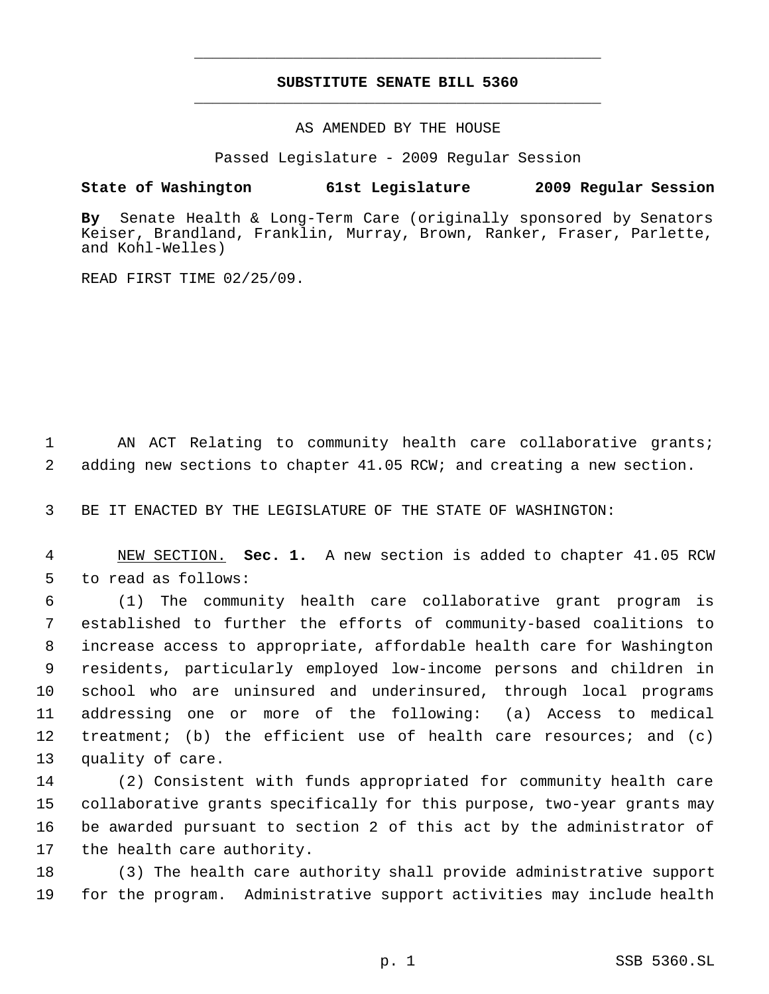## **SUBSTITUTE SENATE BILL 5360** \_\_\_\_\_\_\_\_\_\_\_\_\_\_\_\_\_\_\_\_\_\_\_\_\_\_\_\_\_\_\_\_\_\_\_\_\_\_\_\_\_\_\_\_\_

\_\_\_\_\_\_\_\_\_\_\_\_\_\_\_\_\_\_\_\_\_\_\_\_\_\_\_\_\_\_\_\_\_\_\_\_\_\_\_\_\_\_\_\_\_

AS AMENDED BY THE HOUSE

Passed Legislature - 2009 Regular Session

## **State of Washington 61st Legislature 2009 Regular Session**

**By** Senate Health & Long-Term Care (originally sponsored by Senators Keiser, Brandland, Franklin, Murray, Brown, Ranker, Fraser, Parlette, and Kohl-Welles)

READ FIRST TIME 02/25/09.

1 AN ACT Relating to community health care collaborative grants; 2 adding new sections to chapter 41.05 RCW; and creating a new section.

3 BE IT ENACTED BY THE LEGISLATURE OF THE STATE OF WASHINGTON:

 4 NEW SECTION. **Sec. 1.** A new section is added to chapter 41.05 RCW 5 to read as follows:

 (1) The community health care collaborative grant program is established to further the efforts of community-based coalitions to increase access to appropriate, affordable health care for Washington residents, particularly employed low-income persons and children in school who are uninsured and underinsured, through local programs addressing one or more of the following: (a) Access to medical treatment; (b) the efficient use of health care resources; and (c) quality of care.

 (2) Consistent with funds appropriated for community health care collaborative grants specifically for this purpose, two-year grants may be awarded pursuant to section 2 of this act by the administrator of the health care authority.

18 (3) The health care authority shall provide administrative support 19 for the program. Administrative support activities may include health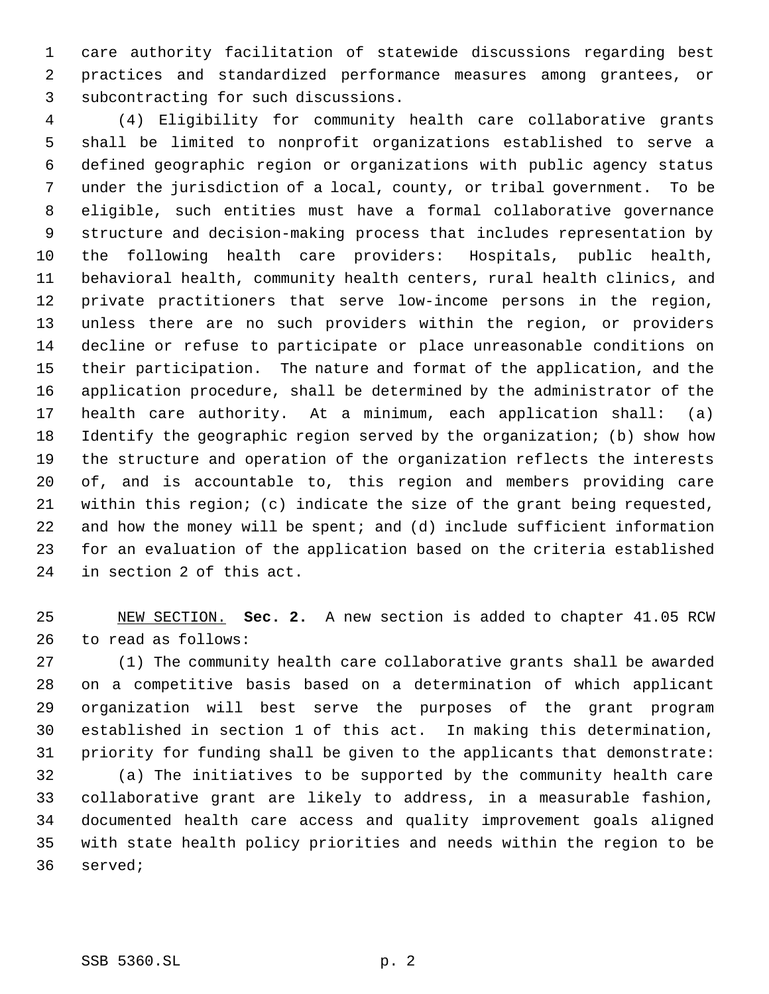care authority facilitation of statewide discussions regarding best practices and standardized performance measures among grantees, or subcontracting for such discussions.

 (4) Eligibility for community health care collaborative grants shall be limited to nonprofit organizations established to serve a defined geographic region or organizations with public agency status under the jurisdiction of a local, county, or tribal government. To be eligible, such entities must have a formal collaborative governance structure and decision-making process that includes representation by the following health care providers: Hospitals, public health, behavioral health, community health centers, rural health clinics, and private practitioners that serve low-income persons in the region, unless there are no such providers within the region, or providers decline or refuse to participate or place unreasonable conditions on their participation. The nature and format of the application, and the application procedure, shall be determined by the administrator of the health care authority. At a minimum, each application shall: (a) Identify the geographic region served by the organization; (b) show how the structure and operation of the organization reflects the interests of, and is accountable to, this region and members providing care within this region; (c) indicate the size of the grant being requested, and how the money will be spent; and (d) include sufficient information for an evaluation of the application based on the criteria established in section 2 of this act.

 NEW SECTION. **Sec. 2.** A new section is added to chapter 41.05 RCW to read as follows:

 (1) The community health care collaborative grants shall be awarded on a competitive basis based on a determination of which applicant organization will best serve the purposes of the grant program established in section 1 of this act. In making this determination, priority for funding shall be given to the applicants that demonstrate:

 (a) The initiatives to be supported by the community health care collaborative grant are likely to address, in a measurable fashion, documented health care access and quality improvement goals aligned with state health policy priorities and needs within the region to be served;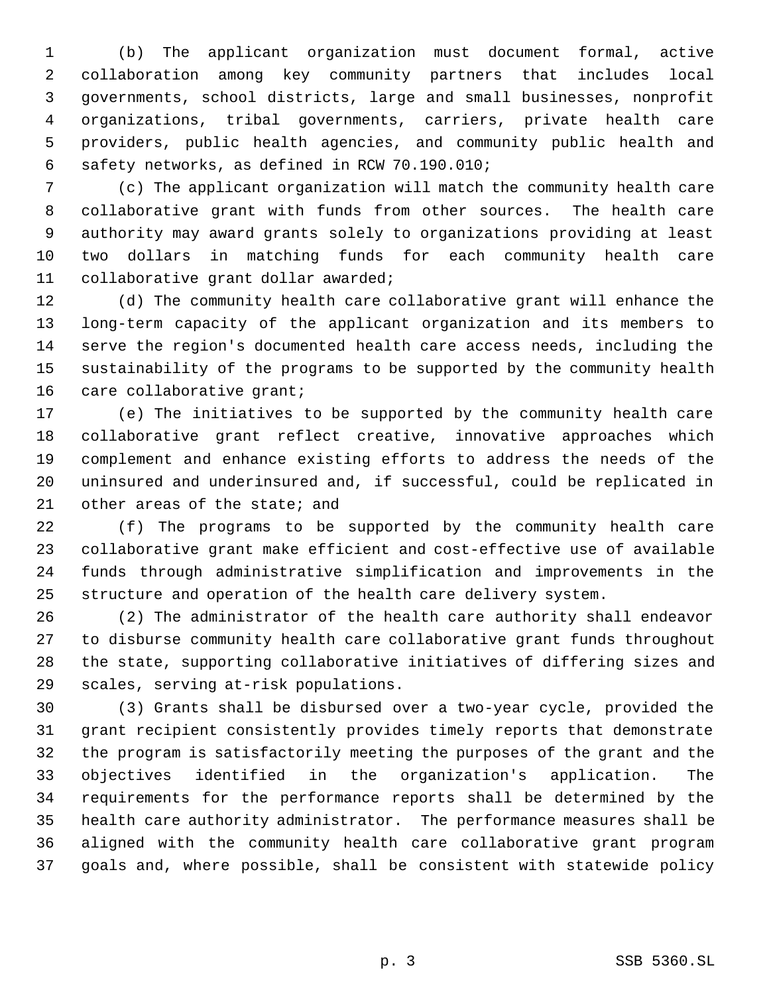(b) The applicant organization must document formal, active collaboration among key community partners that includes local governments, school districts, large and small businesses, nonprofit organizations, tribal governments, carriers, private health care providers, public health agencies, and community public health and safety networks, as defined in RCW 70.190.010;

 (c) The applicant organization will match the community health care collaborative grant with funds from other sources. The health care authority may award grants solely to organizations providing at least two dollars in matching funds for each community health care collaborative grant dollar awarded;

 (d) The community health care collaborative grant will enhance the long-term capacity of the applicant organization and its members to serve the region's documented health care access needs, including the sustainability of the programs to be supported by the community health 16 care collaborative grant;

 (e) The initiatives to be supported by the community health care collaborative grant reflect creative, innovative approaches which complement and enhance existing efforts to address the needs of the uninsured and underinsured and, if successful, could be replicated in other areas of the state; and

 (f) The programs to be supported by the community health care collaborative grant make efficient and cost-effective use of available funds through administrative simplification and improvements in the structure and operation of the health care delivery system.

 (2) The administrator of the health care authority shall endeavor to disburse community health care collaborative grant funds throughout the state, supporting collaborative initiatives of differing sizes and scales, serving at-risk populations.

 (3) Grants shall be disbursed over a two-year cycle, provided the grant recipient consistently provides timely reports that demonstrate the program is satisfactorily meeting the purposes of the grant and the objectives identified in the organization's application. The requirements for the performance reports shall be determined by the health care authority administrator. The performance measures shall be aligned with the community health care collaborative grant program goals and, where possible, shall be consistent with statewide policy